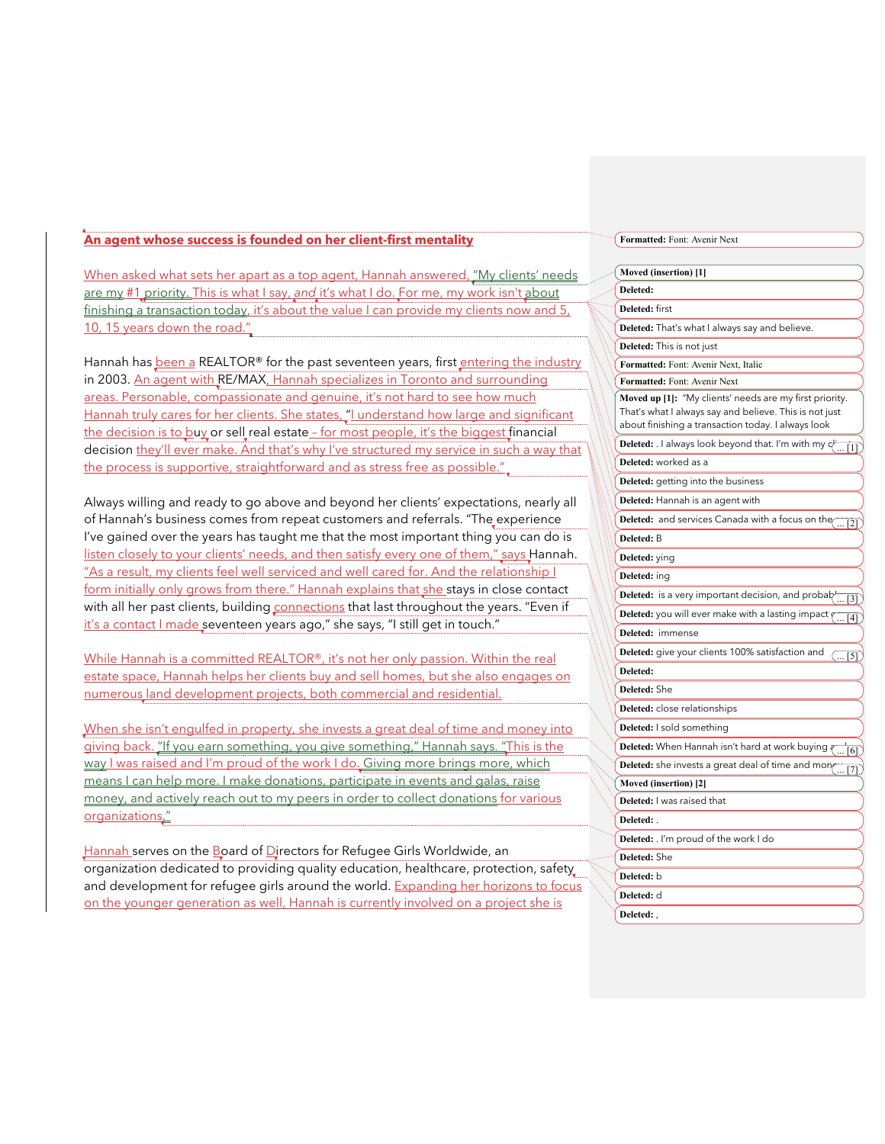## **An agent whose success is founded on her client-first mentality**

When asked what sets her apart as a top agent, Hannah answered, "My clients' needs are my #1 priority. This is what I say, *and* it's what I do. For me, my work isn't about finishing a transaction today, it's about the value I can provide my clients now and 5, 10, 15 years down the road."

Hannah has been a REALTOR® for the past seventeen years, first entering the industry in 2003. An agent with RE/MAX, Hannah specializes in Toronto and surrounding areas. Personable, compassionate and genuine, it's not hard to see how much Hannah truly cares for her clients. She states, "I understand how large and significant the decision is to buy or sell real estate - for most people, it's the biggest financial decision they'll ever make. And that's why I've structured my service in such a way that the process is supportive, straightforward and as stress free as possible.".

Always willing and ready to go above and beyond her clients' expectations, nearly all of Hannah's business comes from repeat customers and referrals. "The experience I've gained over the years has taught me that the most important thing you can do is listen closely to your clients' needs, and then satisfy every one of them," says Hannah. "As a result, my clients feel well serviced and well cared for. And the relationship I form initially only grows from there." Hannah explains that she stays in close contact with all her past clients, building connections that last throughout the years. "Even if it's a contact I made seventeen years ago," she says, "I still get in touch."

While Hannah is a committed REALTOR®, it's not her only passion. Within the real estate space, Hannah helps her clients buy and sell homes, but she also engages on numerous land development projects, both commercial and residential.

When she isn't engulfed in property, she invests a great deal of time and money into giving back. "If you earn something, you give something," Hannah says. "This is the way I was raised and I'm proud of the work I do. Giving more brings more, which means I can help more. I make donations, participate in events and galas, raise money, and actively reach out to my peers in order to collect donations for various organizations."

Hannah serves on the Board of Directors for Refugee Girls Worldwide, an organization dedicated to providing quality education, healthcare, protection, safety and development for refugee girls around the world. Expanding her horizons to focus on the younger generation as well, Hannah is currently involved on a project she is

## **Formatted:** Font: Avenir Next

| Moved (insertion) [1]                                                                                                                                                   |
|-------------------------------------------------------------------------------------------------------------------------------------------------------------------------|
| Deleted:                                                                                                                                                                |
| Deleted: first                                                                                                                                                          |
| Deleted: That's what I always say and believe.                                                                                                                          |
| <b>Deleted:</b> This is not just                                                                                                                                        |
| Formatted: Font: Avenir Next, Italic                                                                                                                                    |
| Formatted: Font: Avenir Next                                                                                                                                            |
| Moved up [1]: "My clients' needs are my first priority.<br>That's what I always say and believe. This is not just<br>about finishing a transaction today. I always look |
| <b>Deleted:</b> $\overline{\phantom{a}}$ always look beyond that. I'm with my $\overline{C_{\ldots [1]}^{k}}$                                                           |
| Deleted: worked as a                                                                                                                                                    |
| Deleted: getting into the business                                                                                                                                      |
| Deleted: Hannah is an agent with                                                                                                                                        |
| Deleted: and services Canada with a focus on the  [2]                                                                                                                   |
| Deleted: B                                                                                                                                                              |
| Deleted: ying                                                                                                                                                           |
| Deleted: ing                                                                                                                                                            |
| <b>Deleted:</b> is a very important decision, and probab <sub>(</sub> [3]                                                                                               |
| <b>Deleted:</b> you will ever make with a lasting impact $\sqrt{  4 }$                                                                                                  |
| Deleted: immense                                                                                                                                                        |
| Deleted: give your clients 100% satisfaction and<br>( [5]                                                                                                               |
| Deleted:                                                                                                                                                                |
| Deleted: She                                                                                                                                                            |
| Deleted: close relationships                                                                                                                                            |
| Deleted: I sold something                                                                                                                                               |
| Deleted: When Hannah isn't hard at work buying $\overline{\left(\begin{smallmatrix} 1 & 0 \\ 0 & 1 \end{smallmatrix}\right.}$                                           |
| Deleted: she invests a great deal of time and mon( [7]                                                                                                                  |
| Moved (insertion) [2]                                                                                                                                                   |
| Deleted: I was raised that                                                                                                                                              |
| Deleted:                                                                                                                                                                |
| Deleted: . I'm proud of the work I do                                                                                                                                   |
| Deleted: She                                                                                                                                                            |
| Deleted: b                                                                                                                                                              |
| Deleted: d                                                                                                                                                              |
| Deleted:                                                                                                                                                                |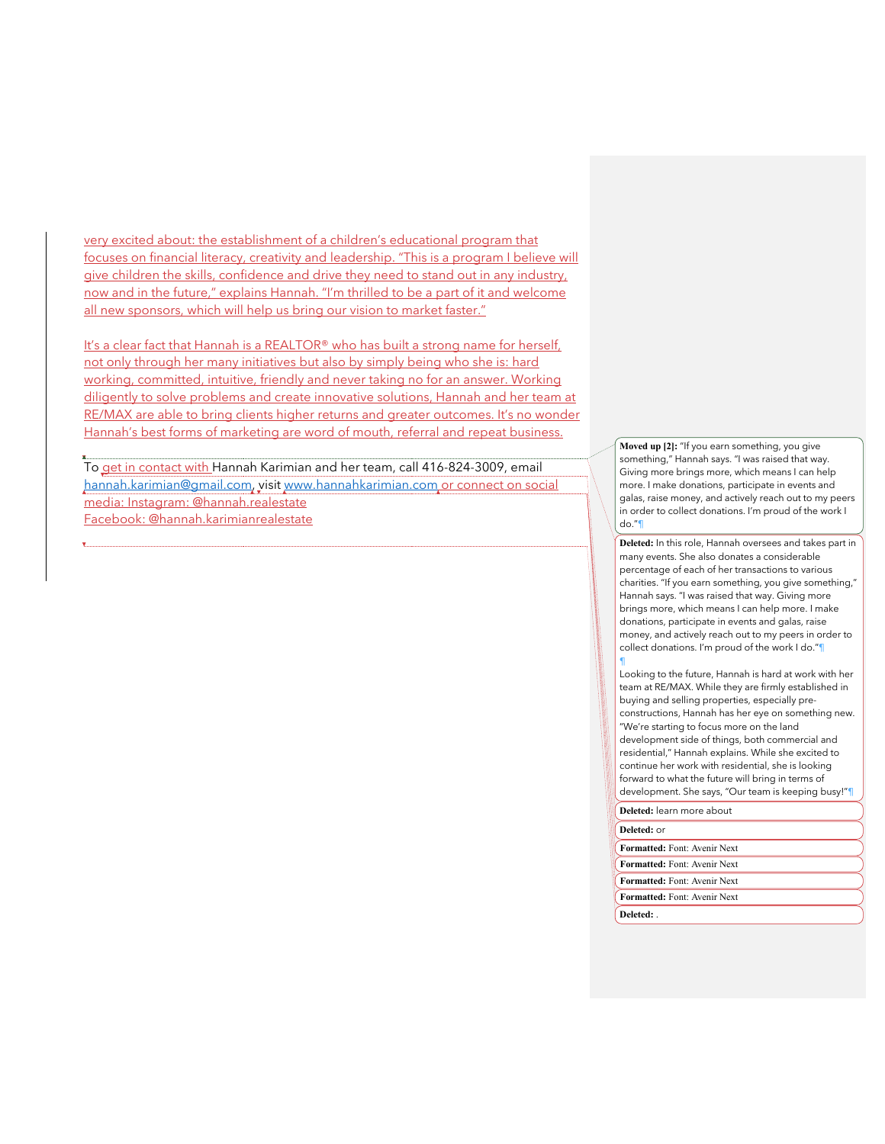very excited about: the establishment of a children's educational program that focuses on financial literacy, creativity and leadership. "This is a program I believe will give children the skills, confidence and drive they need to stand out in any industry, now and in the future," explains Hannah. "I'm thrilled to be a part of it and welcome all new sponsors, which will help us bring our vision to market faster."

It's a clear fact that Hannah is a REALTOR® who has built a strong name for herself, not only through her many initiatives but also by simply being who she is: hard working, committed, intuitive, friendly and never taking no for an answer. Working diligently to solve problems and create innovative solutions, Hannah and her team at RE/MAX are able to bring clients higher returns and greater outcomes. It's no wonder Hannah's best forms of marketing are word of mouth, referral and repeat business.

To get in contact with Hannah Karimian and her team, call 416-824-3009, email hannah.karimian@gmail.com, visit www.hannahkarimian.com or connect on social media: Instagram: @hannah.realestate Facebook: @hannah.karimianrealestate

**Moved up [2]:** "If you earn something, you give something," Hannah says. "I was raised that way. Giving more brings more, which means I can help more. I make donations, participate in events and galas, raise money, and actively reach out to my peers in order to collect donations. I'm proud of the work I do."¶

**Deleted:** In this role, Hannah oversees and takes part in many events. She also donates a considerable percentage of each of her transactions to various charities. "If you earn something, you give something," Hannah says. "I was raised that way. Giving more brings more, which means I can help more. I make donations, participate in events and galas, raise money, and actively reach out to my peers in order to collect donations. I'm proud of the work I do."¶ ¶

Looking to the future, Hannah is hard at work with her team at RE/MAX. While they are firmly established in buying and selling properties, especially preconstructions, Hannah has her eye on something new. "We're starting to focus more on the land development side of things, both commercial and residential," Hannah explains. While she excited to continue her work with residential, she is looking forward to what the future will bring in terms of development. She says, "Our team is keeping busy!"¶ **Deleted:** learn more about **Formatted:** Font: Avenir Next **Deleted:** or

**Formatted:** Font: Avenir Next **Formatted:** Font: Avenir Next **Formatted:** Font: Avenir Next **Deleted:** .